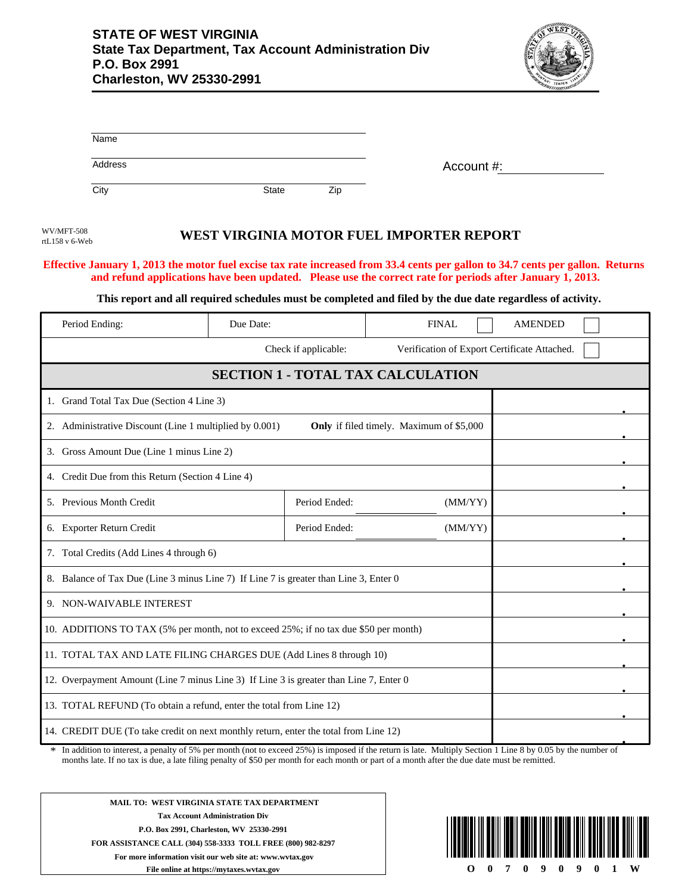

|                                                                                                     | Name                                              |              |                          |                                                                                                            |                                                                                                                                 |  |
|-----------------------------------------------------------------------------------------------------|---------------------------------------------------|--------------|--------------------------|------------------------------------------------------------------------------------------------------------|---------------------------------------------------------------------------------------------------------------------------------|--|
|                                                                                                     | Address                                           |              |                          | Account #:                                                                                                 |                                                                                                                                 |  |
| City                                                                                                |                                                   | <b>State</b> | Zip                      |                                                                                                            |                                                                                                                                 |  |
| WV/MFT-508<br>rtL158 v 6-Web                                                                        |                                                   |              |                          | WEST VIRGINIA MOTOR FUEL IMPORTER REPORT                                                                   | Effective January 1, 2013 the motor fuel excise tax rate increased from 33.4 cents per gallon to 34.7 cents per gallon. Returns |  |
|                                                                                                     |                                                   |              |                          | and refund applications have been updated. Please use the correct rate for periods after January 1, 2013.  |                                                                                                                                 |  |
|                                                                                                     |                                                   |              |                          | This report and all required schedules must be completed and filed by the due date regardless of activity. |                                                                                                                                 |  |
| Period Ending:                                                                                      |                                                   | Due Date:    |                          | <b>FINAL</b>                                                                                               | <b>AMENDED</b>                                                                                                                  |  |
|                                                                                                     |                                                   |              | Check if applicable:     | Verification of Export Certificate Attached.                                                               |                                                                                                                                 |  |
|                                                                                                     |                                                   |              |                          | <b>SECTION 1 - TOTAL TAX CALCULATION</b>                                                                   |                                                                                                                                 |  |
|                                                                                                     | 1. Grand Total Tax Due (Section 4 Line 3)         |              |                          |                                                                                                            |                                                                                                                                 |  |
| 2. Administrative Discount (Line 1 multiplied by 0.001)<br>Only if filed timely. Maximum of \$5,000 |                                                   |              |                          |                                                                                                            |                                                                                                                                 |  |
| 3. Gross Amount Due (Line 1 minus Line 2)                                                           |                                                   |              |                          |                                                                                                            |                                                                                                                                 |  |
|                                                                                                     | 4. Credit Due from this Return (Section 4 Line 4) |              |                          |                                                                                                            |                                                                                                                                 |  |
|                                                                                                     | 5. Previous Month Credit<br>Period Ended:         |              |                          | (MM/YY)                                                                                                    |                                                                                                                                 |  |
|                                                                                                     | 6. Exporter Return Credit                         |              | Period Ended:<br>(MM/YY) |                                                                                                            |                                                                                                                                 |  |
| 7. Total Credits (Add Lines 4 through 6)                                                            |                                                   |              |                          |                                                                                                            |                                                                                                                                 |  |
| 8. Balance of Tax Due (Line 3 minus Line 7) If Line 7 is greater than Line 3, Enter 0               |                                                   |              |                          |                                                                                                            |                                                                                                                                 |  |
| 9. NON-WAIVABLE INTEREST                                                                            |                                                   |              |                          |                                                                                                            |                                                                                                                                 |  |
| 10. ADDITIONS TO TAX (5% per month, not to exceed 25%; if no tax due \$50 per month)                |                                                   |              |                          |                                                                                                            |                                                                                                                                 |  |
| 11. TOTAL TAX AND LATE FILING CHARGES DUE (Add Lines 8 through 10)                                  |                                                   |              |                          |                                                                                                            |                                                                                                                                 |  |
| 12. Overpayment Amount (Line 7 minus Line 3) If Line 3 is greater than Line 7, Enter 0              |                                                   |              |                          |                                                                                                            |                                                                                                                                 |  |
| 13. TOTAL REFUND (To obtain a refund, enter the total from Line 12)                                 |                                                   |              |                          |                                                                                                            |                                                                                                                                 |  |
| 14. CREDIT DUE (To take credit on next monthly return, enter the total from Line 12)                |                                                   |              |                          |                                                                                                            |                                                                                                                                 |  |
|                                                                                                     |                                                   |              |                          |                                                                                                            |                                                                                                                                 |  |

In addition to interest, a penalty of 5% per month (not to exceed 25%) is imposed if the return is late. Multiply Section 1 Line 8 by 0.05 by the number of months late. If no tax is due, a late filing penalty of \$50 per month for each month or part of a month after the due date must be remitted. \*

**MAIL TO: WEST VIRGINIA STATE TAX DEPARTMENT Tax Account Administration Div P.O. Box 2991, Charleston, WV 25330-2991 FOR ASSISTANCE CALL (304) 558-3333 TOLL FREE (800) 982-8297 For more information visit our web site at: www.wvtax.gov File online at https://mytaxes.wvtax.gov**

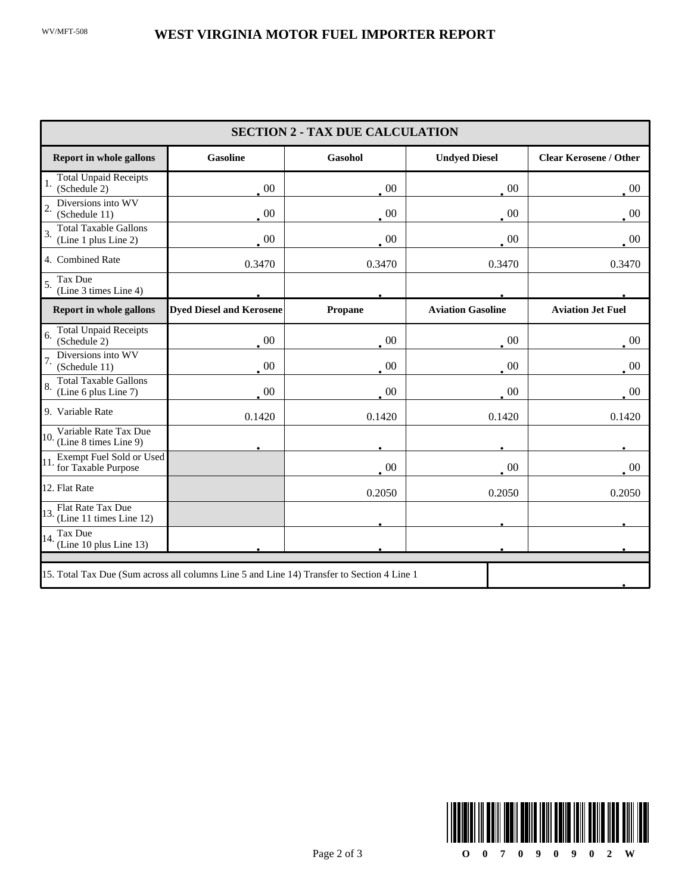| <b>SECTION 2 - TAX DUE CALCULATION</b>                                                     |                                 |                |                          |                               |  |
|--------------------------------------------------------------------------------------------|---------------------------------|----------------|--------------------------|-------------------------------|--|
| <b>Report in whole gallons</b>                                                             | <b>Gasoline</b>                 | <b>Gasohol</b> | <b>Undyed Diesel</b>     | <b>Clear Kerosene / Other</b> |  |
| <b>Total Unpaid Receipts</b><br>(Schedule 2)                                               | $\cdot$ 00                      | $\cdot$ 00     | $\cdot$ 00               | $\cdot$ 00                    |  |
| Diversions into WV<br>(Schedule 11)                                                        | $\,00\,$                        | $\sim 00$      | $\,00\,$                 | $\cdot$ 00                    |  |
| <b>Total Taxable Gallons</b><br>(Line 1 plus Line 2)                                       | $\cdot$ 00                      | $\cdot$ 00     | $00\,$                   | $\sim 00$                     |  |
| 4. Combined Rate                                                                           | 0.3470                          | 0.3470         | 0.3470                   | 0.3470                        |  |
| Tax Due<br>(Line 3 times Line 4)                                                           |                                 |                |                          |                               |  |
| <b>Report in whole gallons</b>                                                             | <b>Dyed Diesel and Kerosene</b> | Propane        | <b>Aviation Gasoline</b> | <b>Aviation Jet Fuel</b>      |  |
| <b>Total Unpaid Receipts</b><br>6.<br>(Schedule 2)                                         | $00\,$                          | $00\,$         | $00\,$                   | $\cdot$ 00                    |  |
| Diversions into WV<br>(Schedule 11)                                                        | $00\,$                          | 00             | $00\,$                   | $00\,$                        |  |
| <b>Total Taxable Gallons</b><br>(Line 6 plus Line 7)                                       | $00\,$                          | $00\,$         | $00\,$                   | $_{\circ}$ 00                 |  |
| 9. Variable Rate                                                                           | 0.1420                          | 0.1420         | 0.1420                   | 0.1420                        |  |
| Variable Rate Tax Due<br>10.<br>(Line 8 times Line 9)                                      |                                 |                |                          |                               |  |
| Exempt Fuel Sold or Used<br>for Taxable Purpose                                            |                                 | 00             | $00\,$                   | $00\,$                        |  |
| 12. Flat Rate                                                                              |                                 | 0.2050         | 0.2050                   | 0.2050                        |  |
| Flat Rate Tax Due<br>(Line 11 times Line 12)                                               |                                 |                |                          |                               |  |
| Tax Due<br>14.<br>(Line 10 plus Line 13)                                                   |                                 |                |                          |                               |  |
| 15. Total Tax Due (Sum across all columns Line 5 and Line 14) Transfer to Section 4 Line 1 |                                 |                |                          |                               |  |